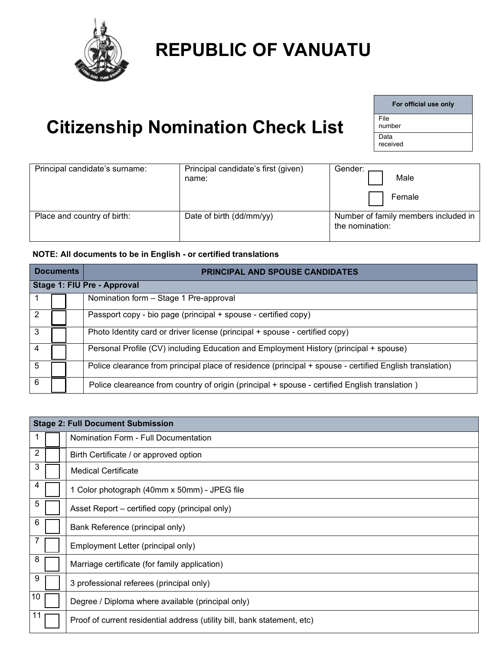

## **REPUBLIC OF VANUATU**

## **Citizenship Nomination Check List**

| For official use only |
|-----------------------|
| File<br>number        |
| Data<br>received      |

| Principal candidate's surname: | Principal candidate's first (given)<br>name: | Gender:<br>Male                                         |
|--------------------------------|----------------------------------------------|---------------------------------------------------------|
|                                |                                              | Female                                                  |
| Place and country of birth:    | Date of birth (dd/mm/yy)                     | Number of family members included in<br>the nomination: |

## **NOTE: All documents to be in English - or certified translations**

| <b>Documents</b> |                             |  | <b>PRINCIPAL AND SPOUSE CANDIDATES</b>                                                                  |  |  |  |  |  |
|------------------|-----------------------------|--|---------------------------------------------------------------------------------------------------------|--|--|--|--|--|
|                  | Stage 1: FIU Pre - Approval |  |                                                                                                         |  |  |  |  |  |
|                  |                             |  | Nomination form - Stage 1 Pre-approval                                                                  |  |  |  |  |  |
|                  |                             |  | Passport copy - bio page (principal + spouse - certified copy)                                          |  |  |  |  |  |
| 3                |                             |  | Photo Identity card or driver license (principal + spouse - certified copy)                             |  |  |  |  |  |
|                  |                             |  | Personal Profile (CV) including Education and Employment History (principal + spouse)                   |  |  |  |  |  |
| 5                |                             |  | Police clearance from principal place of residence (principal + spouse - certified English translation) |  |  |  |  |  |
| 6                |                             |  | Police cleareance from country of origin (principal + spouse - certified English translation)           |  |  |  |  |  |

|    | <b>Stage 2: Full Document Submission</b>                                 |
|----|--------------------------------------------------------------------------|
| 1  | Nomination Form - Full Documentation                                     |
| 2  | Birth Certificate / or approved option                                   |
| 3  | <b>Medical Certificate</b>                                               |
| 4  | 1 Color photograph (40mm x 50mm) - JPEG file                             |
| 5  | Asset Report – certified copy (principal only)                           |
| 6  | Bank Reference (principal only)                                          |
|    | Employment Letter (principal only)                                       |
| 8  | Marriage certificate (for family application)                            |
| 9  | 3 professional referees (principal only)                                 |
| 10 | Degree / Diploma where available (principal only)                        |
|    | Proof of current residential address (utility bill, bank statement, etc) |